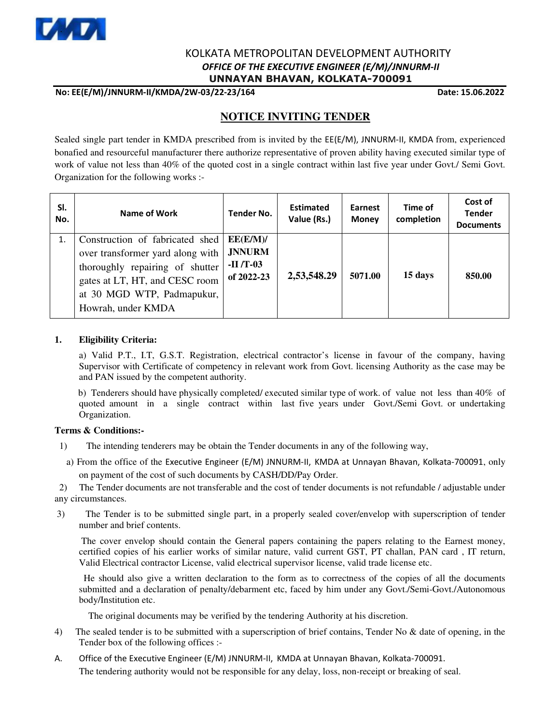

## KOLKATA METROPOLITAN DEVELOPMENT AUTHORITY  *OFFICE OF THE EXECUTIVE ENGINEER (E/M)/JNNURM-II*  **UNNAYAN BHAVAN, KOLKATA-700091**

**No: EE(E/M)/JNNURM-II/KMDA/2W-03/22-23/164 Date: 15.06.2022**

# **NOTICE INVITING TENDER**

Sealed single part tender in KMDA prescribed from is invited by the EE(E/M), JNNURM-II, KMDA from, experienced bonafied and resourceful manufacturer there authorize representative of proven ability having executed similar type of work of value not less than 40% of the quoted cost in a single contract within last five year under Govt./ Semi Govt. Organization for the following works :-

| SI.<br>No. | Name of Work                                                                                                                                                                                 | <b>Tender No.</b>                                     | <b>Estimated</b><br>Value (Rs.) | Earnest<br><b>Money</b> | Time of<br>completion | Cost of<br><b>Tender</b><br><b>Documents</b> |
|------------|----------------------------------------------------------------------------------------------------------------------------------------------------------------------------------------------|-------------------------------------------------------|---------------------------------|-------------------------|-----------------------|----------------------------------------------|
|            | Construction of fabricated shed<br>over transformer yard along with<br>thoroughly repairing of shutter<br>gates at LT, HT, and CESC room<br>at 30 MGD WTP, Padmapukur,<br>Howrah, under KMDA | EE(E/M)/<br><b>JNNURM</b><br>$-II/T-03$<br>of 2022-23 | 2,53,548.29                     | 5071.00                 | 15 days               | 850.00                                       |

### **1. Eligibility Criteria:**

 a) Valid P.T., I.T, G.S.T. Registration, electrical contractor's license in favour of the company, having Supervisor with Certificate of competency in relevant work from Govt. licensing Authority as the case may be and PAN issued by the competent authority.

 b) Tenderers should have physically completed/ executed similar type of work. of value not less than 40% of quoted amount in a single contract within last five years under Govt./Semi Govt. or undertaking Organization.

#### **Terms & Conditions:-**

- 1) The intending tenderers may be obtain the Tender documents in any of the following way,
	- a) From the office of the Executive Engineer (E/M) JNNURM-II, KMDA at Unnayan Bhavan, Kolkata-700091, only on payment of the cost of such documents by CASH/DD/Pay Order.

 2) The Tender documents are not transferable and the cost of tender documents is not refundable / adjustable under any circumstances.

 3) The Tender is to be submitted single part, in a properly sealed cover/envelop with superscription of tender number and brief contents.

 The cover envelop should contain the General papers containing the papers relating to the Earnest money, certified copies of his earlier works of similar nature, valid current GST, PT challan, PAN card , IT return, Valid Electrical contractor License, valid electrical supervisor license, valid trade license etc.

 He should also give a written declaration to the form as to correctness of the copies of all the documents submitted and a declaration of penalty/debarment etc, faced by him under any Govt./Semi-Govt./Autonomous body/Institution etc.

The original documents may be verified by the tendering Authority at his discretion.

- 4) The sealed tender is to be submitted with a superscription of brief contains, Tender No & date of opening, in the Tender box of the following offices :-
- A. Office of the Executive Engineer (E/M) JNNURM-II, KMDA at Unnayan Bhavan, Kolkata-700091. The tendering authority would not be responsible for any delay, loss, non-receipt or breaking of seal.